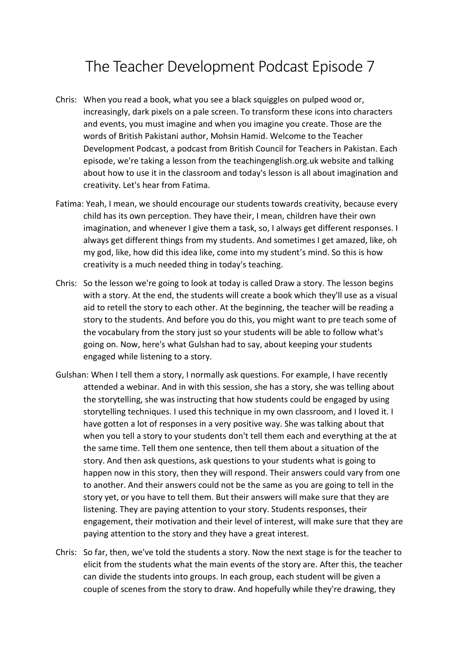## The Teacher Development Podcast Episode 7

- Chris: When you read a book, what you see a black squiggles on pulped wood or, increasingly, dark pixels on a pale screen. To transform these icons into characters and events, you must imagine and when you imagine you create. Those are the words of British Pakistani author, Mohsin Hamid. Welcome to the Teacher Development Podcast, a podcast from British Council for Teachers in Pakistan. Each episode, we're taking a lesson from the teachingenglish.org.uk website and talking about how to use it in the classroom and today's lesson is all about imagination and creativity. Let's hear from Fatima.
- Fatima: Yeah, I mean, we should encourage our students towards creativity, because every child has its own perception. They have their, I mean, children have their own imagination, and whenever I give them a task, so, I always get different responses. I always get different things from my students. And sometimes I get amazed, like, oh my god, like, how did this idea like, come into my student's mind. So this is how creativity is a much needed thing in today's teaching.
- Chris: So the lesson we're going to look at today is called Draw a story. The lesson begins with a story. At the end, the students will create a book which they'll use as a visual aid to retell the story to each other. At the beginning, the teacher will be reading a story to the students. And before you do this, you might want to pre teach some of the vocabulary from the story just so your students will be able to follow what's going on. Now, here's what Gulshan had to say, about keeping your students engaged while listening to a story.
- Gulshan: When I tell them a story, I normally ask questions. For example, I have recently attended a webinar. And in with this session, she has a story, she was telling about the storytelling, she was instructing that how students could be engaged by using storytelling techniques. I used this technique in my own classroom, and I loved it. I have gotten a lot of responses in a very positive way. She was talking about that when you tell a story to your students don't tell them each and everything at the at the same time. Tell them one sentence, then tell them about a situation of the story. And then ask questions, ask questions to your students what is going to happen now in this story, then they will respond. Their answers could vary from one to another. And their answers could not be the same as you are going to tell in the story yet, or you have to tell them. But their answers will make sure that they are listening. They are paying attention to your story. Students responses, their engagement, their motivation and their level of interest, will make sure that they are paying attention to the story and they have a great interest.
- Chris: So far, then, we've told the students a story. Now the next stage is for the teacher to elicit from the students what the main events of the story are. After this, the teacher can divide the students into groups. In each group, each student will be given a couple of scenes from the story to draw. And hopefully while they're drawing, they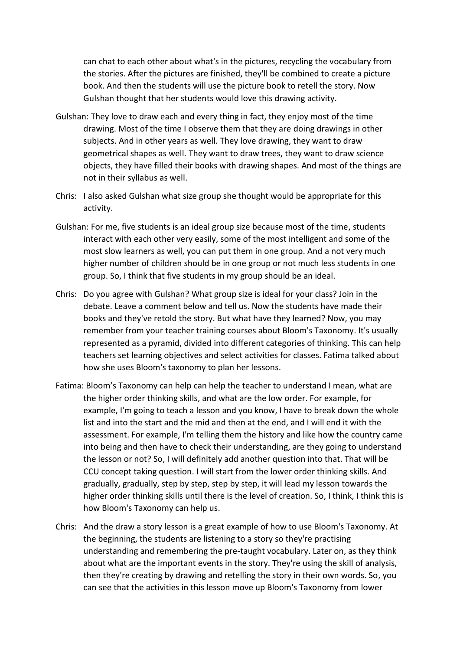can chat to each other about what's in the pictures, recycling the vocabulary from the stories. After the pictures are finished, they'll be combined to create a picture book. And then the students will use the picture book to retell the story. Now Gulshan thought that her students would love this drawing activity.

- Gulshan: They love to draw each and every thing in fact, they enjoy most of the time drawing. Most of the time I observe them that they are doing drawings in other subjects. And in other years as well. They love drawing, they want to draw geometrical shapes as well. They want to draw trees, they want to draw science objects, they have filled their books with drawing shapes. And most of the things are not in their syllabus as well.
- Chris: I also asked Gulshan what size group she thought would be appropriate for this activity.
- Gulshan: For me, five students is an ideal group size because most of the time, students interact with each other very easily, some of the most intelligent and some of the most slow learners as well, you can put them in one group. And a not very much higher number of children should be in one group or not much less students in one group. So, I think that five students in my group should be an ideal.
- Chris: Do you agree with Gulshan? What group size is ideal for your class? Join in the debate. Leave a comment below and tell us. Now the students have made their books and they've retold the story. But what have they learned? Now, you may remember from your teacher training courses about Bloom's Taxonomy. It's usually represented as a pyramid, divided into different categories of thinking. This can help teachers set learning objectives and select activities for classes. Fatima talked about how she uses Bloom's taxonomy to plan her lessons.
- Fatima: Bloom's Taxonomy can help can help the teacher to understand I mean, what are the higher order thinking skills, and what are the low order. For example, for example, I'm going to teach a lesson and you know, I have to break down the whole list and into the start and the mid and then at the end, and I will end it with the assessment. For example, I'm telling them the history and like how the country came into being and then have to check their understanding, are they going to understand the lesson or not? So, I will definitely add another question into that. That will be CCU concept taking question. I will start from the lower order thinking skills. And gradually, gradually, step by step, step by step, it will lead my lesson towards the higher order thinking skills until there is the level of creation. So, I think, I think this is how Bloom's Taxonomy can help us.
- Chris: And the draw a story lesson is a great example of how to use Bloom's Taxonomy. At the beginning, the students are listening to a story so they're practising understanding and remembering the pre-taught vocabulary. Later on, as they think about what are the important events in the story. They're using the skill of analysis, then they're creating by drawing and retelling the story in their own words. So, you can see that the activities in this lesson move up Bloom's Taxonomy from lower